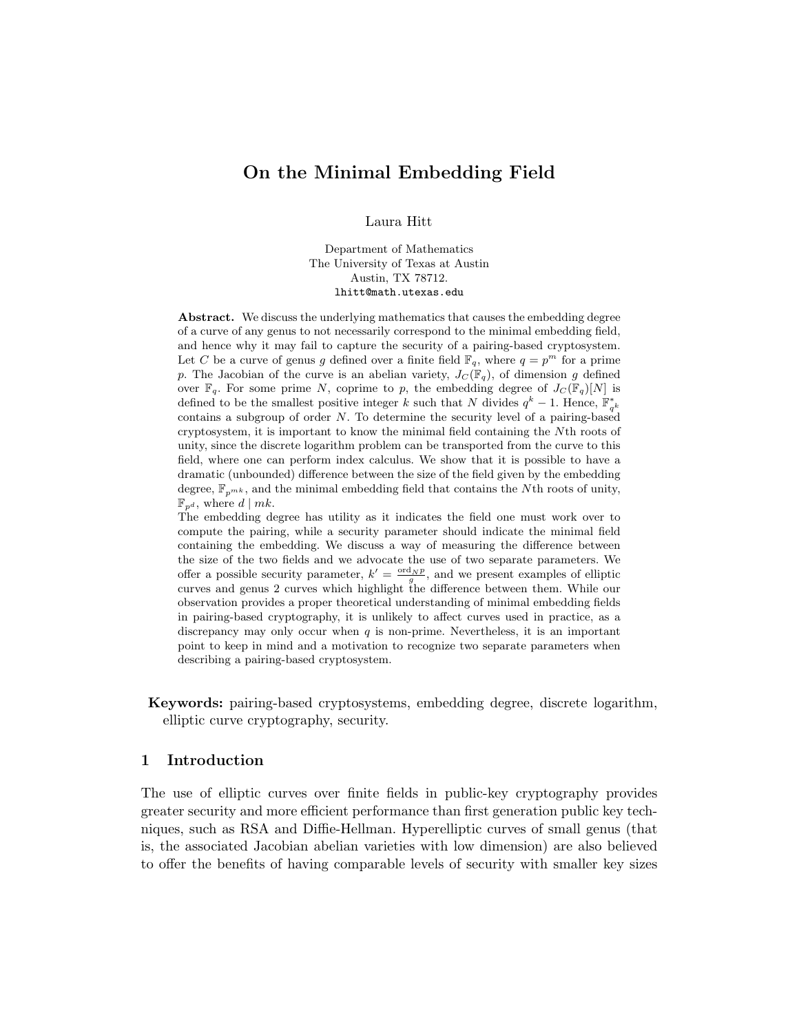# On the Minimal Embedding Field

Laura Hitt

Department of Mathematics The University of Texas at Austin Austin, TX 78712. lhitt@math.utexas.edu

Abstract. We discuss the underlying mathematics that causes the embedding degree of a curve of any genus to not necessarily correspond to the minimal embedding field, and hence why it may fail to capture the security of a pairing-based cryptosystem. Let C be a curve of genus g defined over a finite field  $\mathbb{F}_q$ , where  $q = p^m$  for a prime p. The Jacobian of the curve is an abelian variety,  $J_C(\mathbb{F}_q)$ , of dimension g defined over  $\mathbb{F}_q$ . For some prime N, coprime to p, the embedding degree of  $J_c(\mathbb{F}_q)[N]$  is defined to be the smallest positive integer k such that N divides  $q^k - 1$ . Hence,  $\mathbb{F}_{q^k}^*$ contains a subgroup of order  $N$ . To determine the security level of a pairing-based cryptosystem, it is important to know the minimal field containing the Nth roots of unity, since the discrete logarithm problem can be transported from the curve to this field, where one can perform index calculus. We show that it is possible to have a dramatic (unbounded) difference between the size of the field given by the embedding degree,  $\mathbb{F}_{p^{mk}}$ , and the minimal embedding field that contains the Nth roots of unity,  $\mathbb{F}_{p^d}$ , where  $d | mk$ .

The embedding degree has utility as it indicates the field one must work over to compute the pairing, while a security parameter should indicate the minimal field containing the embedding. We discuss a way of measuring the difference between the size of the two fields and we advocate the use of two separate parameters. We offer a possible security parameter,  $k' = \frac{\text{ord}_N p}{g}$ , and we present examples of elliptic curves and genus 2 curves which highlight the difference between them. While our observation provides a proper theoretical understanding of minimal embedding fields in pairing-based cryptography, it is unlikely to affect curves used in practice, as a discrepancy may only occur when  $q$  is non-prime. Nevertheless, it is an important point to keep in mind and a motivation to recognize two separate parameters when describing a pairing-based cryptosystem.

Keywords: pairing-based cryptosystems, embedding degree, discrete logarithm, elliptic curve cryptography, security.

### 1 Introduction

The use of elliptic curves over finite fields in public-key cryptography provides greater security and more efficient performance than first generation public key techniques, such as RSA and Diffie-Hellman. Hyperelliptic curves of small genus (that is, the associated Jacobian abelian varieties with low dimension) are also believed to offer the benefits of having comparable levels of security with smaller key sizes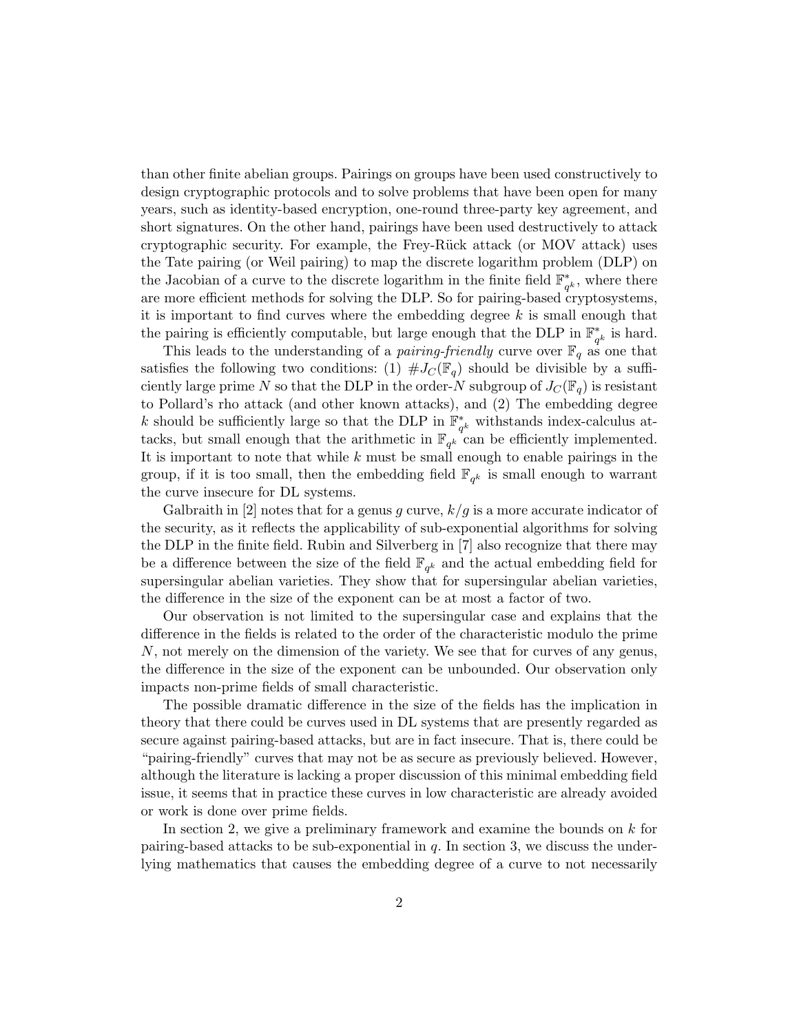than other finite abelian groups. Pairings on groups have been used constructively to design cryptographic protocols and to solve problems that have been open for many years, such as identity-based encryption, one-round three-party key agreement, and short signatures. On the other hand, pairings have been used destructively to attack cryptographic security. For example, the Frey-R¨uck attack (or MOV attack) uses the Tate pairing (or Weil pairing) to map the discrete logarithm problem (DLP) on the Jacobian of a curve to the discrete logarithm in the finite field  $\mathbb{F}_q^*$  $_{q<sup>k</sup>$ , where there are more efficient methods for solving the DLP. So for pairing-based cryptosystems, it is important to find curves where the embedding degree  $k$  is small enough that the pairing is efficiently computable, but large enough that the DLP in  $\mathbb{F}_q^*$  $_{q^k}^*$  is hard.

This leads to the understanding of a *pairing-friendly* curve over  $\mathbb{F}_q$  as one that satisfies the following two conditions: (1)  $\#J_{\mathcal{C}}(\mathbb{F}_q)$  should be divisible by a sufficiently large prime N so that the DLP in the order-N subgroup of  $J_C(\mathbb{F}_q)$  is resistant to Pollard's rho attack (and other known attacks), and (2) The embedding degree k should be sufficiently large so that the DLP in  $\mathbb{F}_q^*$  $_{q^k}^*$  withstands index-calculus attacks, but small enough that the arithmetic in  $\mathbb{F}_{q^k}$  can be efficiently implemented. It is important to note that while  $k$  must be small enough to enable pairings in the group, if it is too small, then the embedding field  $\mathbb{F}_{q^k}$  is small enough to warrant the curve insecure for DL systems.

Galbraith in [2] notes that for a genus g curve,  $k/g$  is a more accurate indicator of the security, as it reflects the applicability of sub-exponential algorithms for solving the DLP in the finite field. Rubin and Silverberg in [7] also recognize that there may be a difference between the size of the field  $\mathbb{F}_{q^k}$  and the actual embedding field for supersingular abelian varieties. They show that for supersingular abelian varieties, the difference in the size of the exponent can be at most a factor of two.

Our observation is not limited to the supersingular case and explains that the difference in the fields is related to the order of the characteristic modulo the prime N, not merely on the dimension of the variety. We see that for curves of any genus, the difference in the size of the exponent can be unbounded. Our observation only impacts non-prime fields of small characteristic.

The possible dramatic difference in the size of the fields has the implication in theory that there could be curves used in DL systems that are presently regarded as secure against pairing-based attacks, but are in fact insecure. That is, there could be "pairing-friendly" curves that may not be as secure as previously believed. However, although the literature is lacking a proper discussion of this minimal embedding field issue, it seems that in practice these curves in low characteristic are already avoided or work is done over prime fields.

In section 2, we give a preliminary framework and examine the bounds on k for pairing-based attacks to be sub-exponential in  $q$ . In section 3, we discuss the underlying mathematics that causes the embedding degree of a curve to not necessarily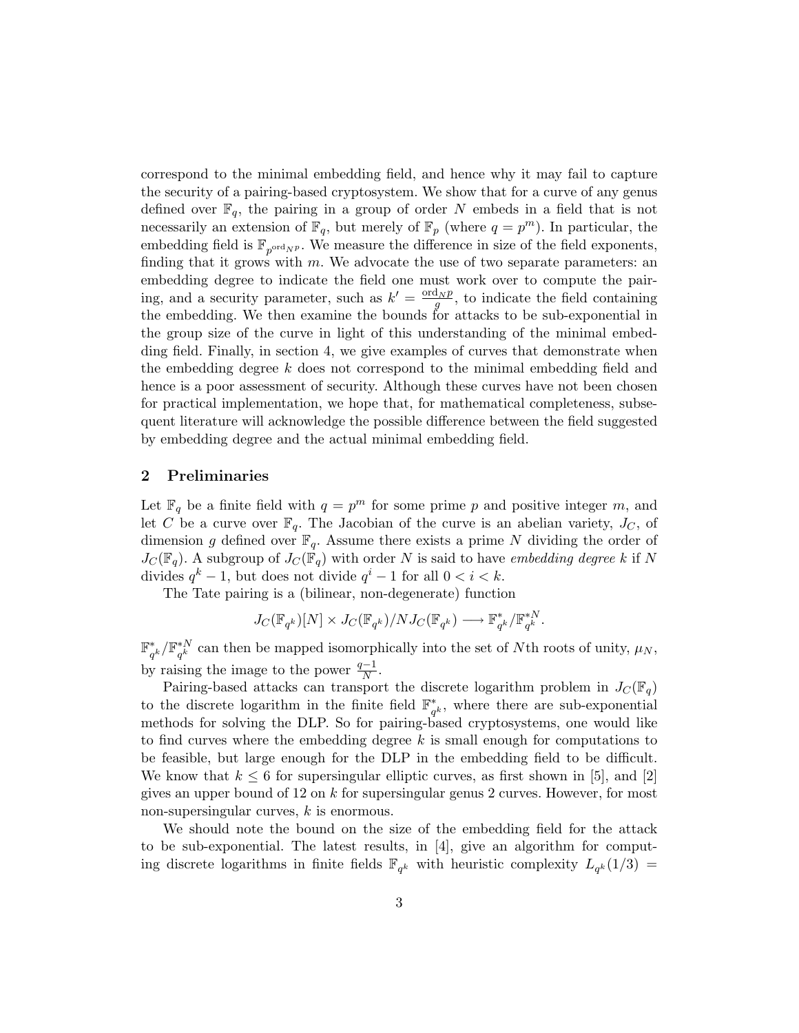correspond to the minimal embedding field, and hence why it may fail to capture the security of a pairing-based cryptosystem. We show that for a curve of any genus defined over  $\mathbb{F}_q$ , the pairing in a group of order N embeds in a field that is not necessarily an extension of  $\mathbb{F}_q$ , but merely of  $\mathbb{F}_p$  (where  $q = p^m$ ). In particular, the embedding field is  $\mathbb{F}_{p^{\text{ord}}N^p}$ . We measure the difference in size of the field exponents, finding that it grows with m. We advocate the use of two separate parameters: an embedding degree to indicate the field one must work over to compute the pairing, and a security parameter, such as  $k' = \frac{\text{ord}_N p}{g}$ , to indicate the field containing the embedding. We then examine the bounds for attacks to be sub-exponential in the group size of the curve in light of this understanding of the minimal embedding field. Finally, in section 4, we give examples of curves that demonstrate when the embedding degree k does not correspond to the minimal embedding field and hence is a poor assessment of security. Although these curves have not been chosen for practical implementation, we hope that, for mathematical completeness, subsequent literature will acknowledge the possible difference between the field suggested by embedding degree and the actual minimal embedding field.

### 2 Preliminaries

Let  $\mathbb{F}_q$  be a finite field with  $q = p^m$  for some prime p and positive integer m, and let C be a curve over  $\mathbb{F}_q$ . The Jacobian of the curve is an abelian variety,  $J_C$ , of dimension g defined over  $\mathbb{F}_q$ . Assume there exists a prime N dividing the order of  $J_C(\mathbb{F}_q)$ . A subgroup of  $J_C(\mathbb{F}_q)$  with order N is said to have embedding degree k if N divides  $q^k - 1$ , but does not divide  $q^i - 1$  for all  $0 < i < k$ .

The Tate pairing is a (bilinear, non-degenerate) function

$$
J_C(\mathbb{F}_{q^k})[N] \times J_C(\mathbb{F}_{q^k})/NJ_C(\mathbb{F}_{q^k}) \longrightarrow \mathbb{F}_{q^k}^*/\mathbb{F}_{q^k}^{*N}.
$$

F ∗  $_{q^{k}}^{\ast}/\mathbb{F}_{q^{k}}^{\ast N}$  $q_{q^k}^{*N}$  can then be mapped isomorphically into the set of Nth roots of unity,  $\mu_N$ , by raising the image to the power  $\frac{q-1}{N}$ .

Pairing-based attacks can transport the discrete logarithm problem in  $J_C(\mathbb{F}_q)$ to the discrete logarithm in the finite field  $\mathbb{F}_q^*$  $_{q<sup>k</sup>}^*$ , where there are sub-exponential methods for solving the DLP. So for pairing-based cryptosystems, one would like to find curves where the embedding degree  $k$  is small enough for computations to be feasible, but large enough for the DLP in the embedding field to be difficult. We know that  $k \leq 6$  for supersingular elliptic curves, as first shown in [5], and [2] gives an upper bound of 12 on k for supersingular genus 2 curves. However, for most non-supersingular curves, k is enormous.

We should note the bound on the size of the embedding field for the attack to be sub-exponential. The latest results, in [4], give an algorithm for computing discrete logarithms in finite fields  $\mathbb{F}_{q^k}$  with heuristic complexity  $L_{q^k}(1/3)$  =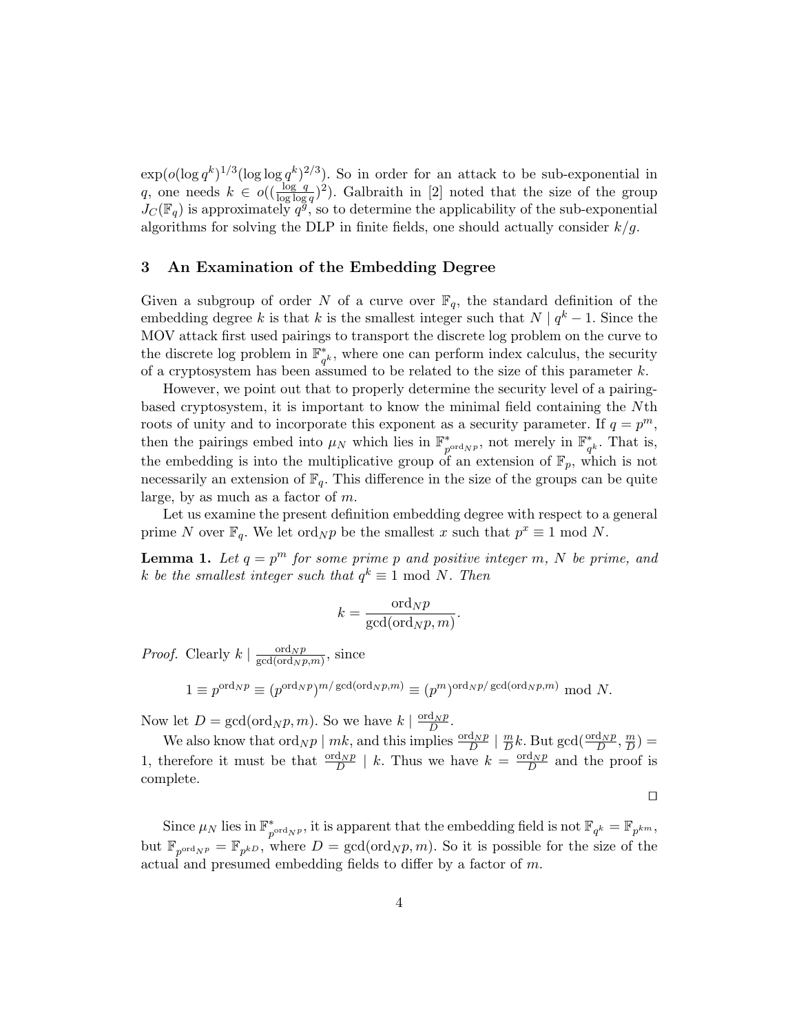$\exp(o(\log q^k)^{1/3}(\log \log q^k)^{2/3})$ . So in order for an attack to be sub-exponential in q, one needs  $k \in o((\frac{\log q}{\log \log q})^2)$ . Galbraith in [2] noted that the size of the group  $J_C(\mathbb{F}_q)$  is approximately  $q^g$ , so to determine the applicability of the sub-exponential algorithms for solving the DLP in finite fields, one should actually consider  $k/g$ .

### 3 An Examination of the Embedding Degree

Given a subgroup of order N of a curve over  $\mathbb{F}_q$ , the standard definition of the embedding degree k is that k is the smallest integer such that  $N | q^k - 1$ . Since the MOV attack first used pairings to transport the discrete log problem on the curve to the discrete log problem in  $\mathbb{F}_q^*$  $_{q^k}^*$ , where one can perform index calculus, the security of a cryptosystem has been assumed to be related to the size of this parameter  $k$ .

However, we point out that to properly determine the security level of a pairingbased cryptosystem, it is important to know the minimal field containing the Nth roots of unity and to incorporate this exponent as a security parameter. If  $q = p^m$ , then the pairings embed into  $\mu_N$  which lies in  $\mathbb{F}_n^*$  $_{p^{\text{ord}_{N}p}}^*$ , not merely in  $\mathbb{F}_q^*$  $_{q^k}^*$ . That is, the embedding is into the multiplicative group of an extension of  $\mathbb{F}_p$ , which is not necessarily an extension of  $\mathbb{F}_q$ . This difference in the size of the groups can be quite large, by as much as a factor of  $m$ .

Let us examine the present definition embedding degree with respect to a general prime N over  $\mathbb{F}_q$ . We let ord<sub>N</sub>p be the smallest x such that  $p^x \equiv 1 \mod N$ .

**Lemma 1.** Let  $q = p^m$  for some prime p and positive integer m, N be prime, and k be the smallest integer such that  $q^k \equiv 1 \mod N$ . Then

$$
k = \frac{\text{ord}_N p}{\text{gcd}(\text{ord}_N p, m)}.
$$

*Proof.* Clearly  $k \mid \frac{\text{ord}_N p}{\text{gcd}(\text{ord}_N)}$  $\frac{\text{ord}_N p}{\text{gcd}(\text{ord}_N p,m)},$  since

$$
1 \equiv p^{\text{ord}_N p} \equiv (p^{\text{ord}_N p})^{m/\text{gcd}(\text{ord}_N p, m)} \equiv (p^m)^{\text{ord}_N p/\text{gcd}(\text{ord}_N p, m)} \mod N.
$$

Now let  $D = \gcd(\text{ord}_N p, m)$ . So we have  $k \mid \frac{\text{ord}_N p}{D}$ .

We also know that  $\operatorname{ord}_N p \mid m k$ , and this implies  $\frac{\operatorname{ord}_N p}{D} \mid \frac{m}{D}$  $\frac{m}{D}k$ . But gcd( $\frac{\text{ord}_N p}{D}, \frac{m}{D}$  $\frac{m}{D}) =$ 1, therefore it must be that  $\frac{\text{ord}_N p}{D}$  | k. Thus we have  $k = \frac{\text{ord}_N p}{D}$  and the proof is complete.

 $\Box$ 

Since  $\mu_N$  lies in  $\mathbb{F}_p^*$  $p^{\text{ord}_{NP}}$ , it is apparent that the embedding field is not  $\mathbb{F}_{q^k} = \mathbb{F}_{p^{km}}$ , but  $\mathbb{F}_{p^{\text{ord}_{NP}}} = \mathbb{F}_{p^{kD}}$ , where  $D = \gcd(\text{ord}_{NP}, m)$ . So it is possible for the size of the actual and presumed embedding fields to differ by a factor of m.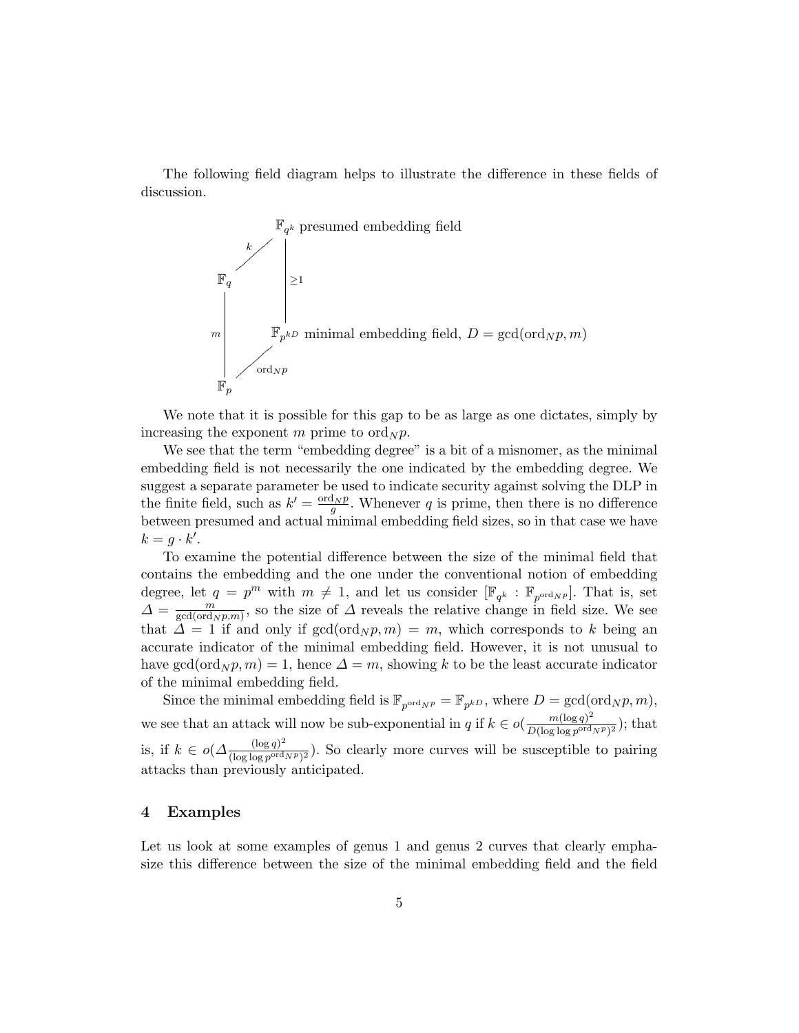The following field diagram helps to illustrate the difference in these fields of discussion.



We note that it is possible for this gap to be as large as one dictates, simply by increasing the exponent m prime to  $\text{ord}_N p$ .

We see that the term "embedding degree" is a bit of a misnomer, as the minimal embedding field is not necessarily the one indicated by the embedding degree. We suggest a separate parameter be used to indicate security against solving the DLP in the finite field, such as  $k' = \frac{\text{ord}_N p}{g}$ . Whenever q is prime, then there is no difference between presumed and actual minimal embedding field sizes, so in that case we have  $k = g \cdot k'.$ 

To examine the potential difference between the size of the minimal field that contains the embedding and the one under the conventional notion of embedding degree, let  $q = p^m$  with  $m \neq 1$ , and let us consider  $[\mathbb{F}_{q^k} : \mathbb{F}_{p^{\text{ord}}N^p}]$ . That is, set  $\Delta = \frac{m}{\text{gcd}(\text{ord})}$  $\frac{m}{\gcd(\text{ord}_N p,m)}$ , so the size of  $\Delta$  reveals the relative change in field size. We see that  $\Delta = 1$  if and only if  $gcd(ord_N p, m) = m$ , which corresponds to k being an accurate indicator of the minimal embedding field. However, it is not unusual to have gcd(ord<sub>N</sub> $p, m$ ) = 1, hence  $\Delta = m$ , showing k to be the least accurate indicator of the minimal embedding field.

Since the minimal embedding field is  $\mathbb{F}_{p^{\text{ord}}N^p} = \mathbb{F}_{p^{kD}}$ , where  $D = \gcd(\text{ord}_N p, m)$ , we see that an attack will now be sub-exponential in q if  $k \in o(\frac{m(\log q)^2}{D(\log \log q)^{ord}})$  $\frac{m(\log q)^2}{D(\log \log p^{\text{ord}}N^p)^2}$ ; that is, if  $k \in o(\Delta \frac{(\log q)^2}{(\log \log n)^{ord}})$  $\frac{(\log q)^2}{(\log \log p^{\text{ord}}N^p)^2}$ ). So clearly more curves will be susceptible to pairing attacks than previously anticipated.

### 4 Examples

Let us look at some examples of genus 1 and genus 2 curves that clearly emphasize this difference between the size of the minimal embedding field and the field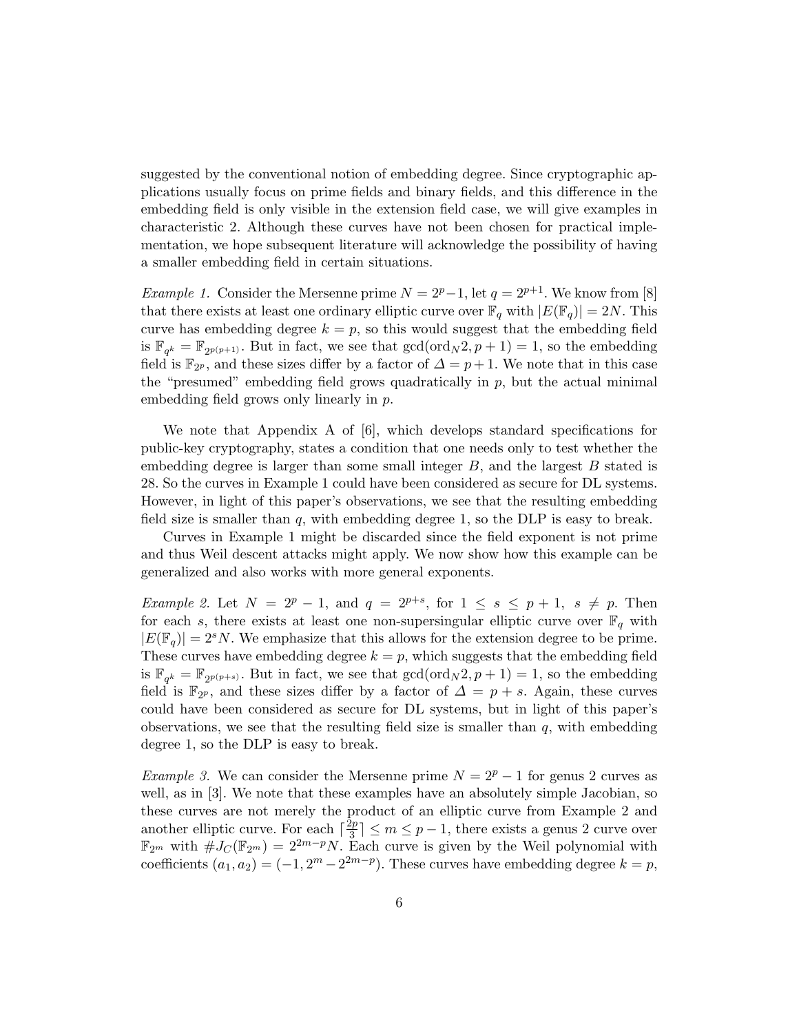suggested by the conventional notion of embedding degree. Since cryptographic applications usually focus on prime fields and binary fields, and this difference in the embedding field is only visible in the extension field case, we will give examples in characteristic 2. Although these curves have not been chosen for practical implementation, we hope subsequent literature will acknowledge the possibility of having a smaller embedding field in certain situations.

Example 1. Consider the Mersenne prime  $N = 2^p-1$ , let  $q = 2^{p+1}$ . We know from [8] that there exists at least one ordinary elliptic curve over  $\mathbb{F}_q$  with  $|E(\mathbb{F}_q)| = 2N$ . This curve has embedding degree  $k = p$ , so this would suggest that the embedding field is  $\mathbb{F}_{q^k} = \mathbb{F}_{2^{p(p+1)}}$ . But in fact, we see that  $gcd(ord_N 2, p+1) = 1$ , so the embedding field is  $\mathbb{F}_{2^p}$ , and these sizes differ by a factor of  $\Delta = p+1$ . We note that in this case the "presumed" embedding field grows quadratically in  $p$ , but the actual minimal embedding field grows only linearly in p.

We note that Appendix A of [6], which develops standard specifications for public-key cryptography, states a condition that one needs only to test whether the embedding degree is larger than some small integer  $B$ , and the largest  $B$  stated is 28. So the curves in Example 1 could have been considered as secure for DL systems. However, in light of this paper's observations, we see that the resulting embedding field size is smaller than  $q$ , with embedding degree 1, so the DLP is easy to break.

Curves in Example 1 might be discarded since the field exponent is not prime and thus Weil descent attacks might apply. We now show how this example can be generalized and also works with more general exponents.

Example 2. Let  $N = 2^p - 1$ , and  $q = 2^{p+s}$ , for  $1 \leq s \leq p+1$ ,  $s \neq p$ . Then for each s, there exists at least one non-supersingular elliptic curve over  $\mathbb{F}_q$  with  $|E(\mathbb{F}_q)| = 2^s N$ . We emphasize that this allows for the extension degree to be prime. These curves have embedding degree  $k = p$ , which suggests that the embedding field is  $\mathbb{F}_{q^k} = \mathbb{F}_{2^{p(p+s)}}$ . But in fact, we see that  $gcd(ord_N 2, p+1) = 1$ , so the embedding field is  $\mathbb{F}_{2^p}$ , and these sizes differ by a factor of  $\Delta = p + s$ . Again, these curves could have been considered as secure for DL systems, but in light of this paper's observations, we see that the resulting field size is smaller than  $q$ , with embedding degree 1, so the DLP is easy to break.

Example 3. We can consider the Mersenne prime  $N = 2<sup>p</sup> - 1$  for genus 2 curves as well, as in [3]. We note that these examples have an absolutely simple Jacobian, so these curves are not merely the product of an elliptic curve from Example 2 and another elliptic curve. For each  $\lceil \frac{2p}{3} \rceil$  $\lfloor \frac{2p}{3} \rfloor \le m \le p-1$ , there exists a genus 2 curve over  $\mathbb{F}_{2^m}$  with  $\#J_{\mathcal{C}}(\mathbb{F}_{2^m})=2^{2m-p}N$ . Each curve is given by the Weil polynomial with coefficients  $(a_1, a_2) = (-1, 2<sup>m</sup> - 2<sup>2m-p</sup>)$ . These curves have embedding degree  $k = p$ ,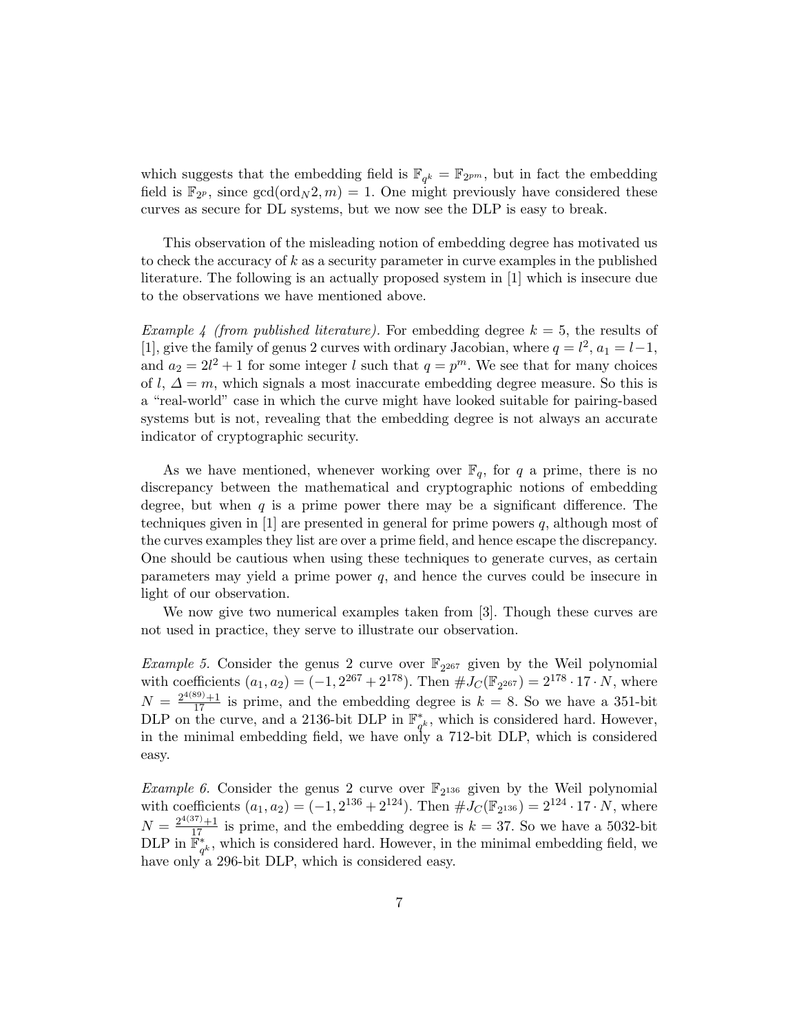which suggests that the embedding field is  $\mathbb{F}_{q^k} = \mathbb{F}_{2^{pm}}$ , but in fact the embedding field is  $\mathbb{F}_{2^p}$ , since  $gcd(ord_N 2, m) = 1$ . One might previously have considered these curves as secure for DL systems, but we now see the DLP is easy to break.

This observation of the misleading notion of embedding degree has motivated us to check the accuracy of k as a security parameter in curve examples in the published literature. The following is an actually proposed system in [1] which is insecure due to the observations we have mentioned above.

Example 4 (from published literature). For embedding degree  $k = 5$ , the results of [1], give the family of genus 2 curves with ordinary Jacobian, where  $q = l^2$ ,  $a_1 = l - 1$ , and  $a_2 = 2l^2 + 1$  for some integer l such that  $q = p^m$ . We see that for many choices of l,  $\Delta = m$ , which signals a most inaccurate embedding degree measure. So this is a "real-world" case in which the curve might have looked suitable for pairing-based systems but is not, revealing that the embedding degree is not always an accurate indicator of cryptographic security.

As we have mentioned, whenever working over  $\mathbb{F}_q$ , for q a prime, there is no discrepancy between the mathematical and cryptographic notions of embedding degree, but when  $q$  is a prime power there may be a significant difference. The techniques given in  $[1]$  are presented in general for prime powers q, although most of the curves examples they list are over a prime field, and hence escape the discrepancy. One should be cautious when using these techniques to generate curves, as certain parameters may yield a prime power  $q$ , and hence the curves could be insecure in light of our observation.

We now give two numerical examples taken from [3]. Though these curves are not used in practice, they serve to illustrate our observation.

Example 5. Consider the genus 2 curve over  $\mathbb{F}_{2^{267}}$  given by the Weil polynomial with coefficients  $(a_1, a_2) = (-1, 2^{267} + 2^{178})$ . Then  $\#J_C(\mathbb{F}_{2^{267}}) = 2^{178} \cdot 17 \cdot N$ , where  $N = \frac{2^{4(89)} + 1}{17}$  is prime, and the embedding degree is  $k = 8$ . So we have a 351-bit DLP on the curve, and a 2136-bit DLP in  $\mathbb{F}_q^*$  $_{q<sup>k</sup>$ , which is considered hard. However, in the minimal embedding field, we have only a 712-bit DLP, which is considered easy.

Example 6. Consider the genus 2 curve over  $\mathbb{F}_{2^{136}}$  given by the Weil polynomial with coefficients  $(a_1, a_2) = (-1, 2^{136} + 2^{124})$ . Then  $\#J_C(\mathbb{F}_{2^{136}}) = 2^{124} \cdot 17 \cdot N$ , where  $N = \frac{2^{4(37)} + 1}{17}$  is prime, and the embedding degree is  $k = 37$ . So we have a 5032-bit DLP in  $\mathbb{F}_{a}^{*}$  $_{q^k}^*$ , which is considered hard. However, in the minimal embedding field, we have only a 296-bit DLP, which is considered easy.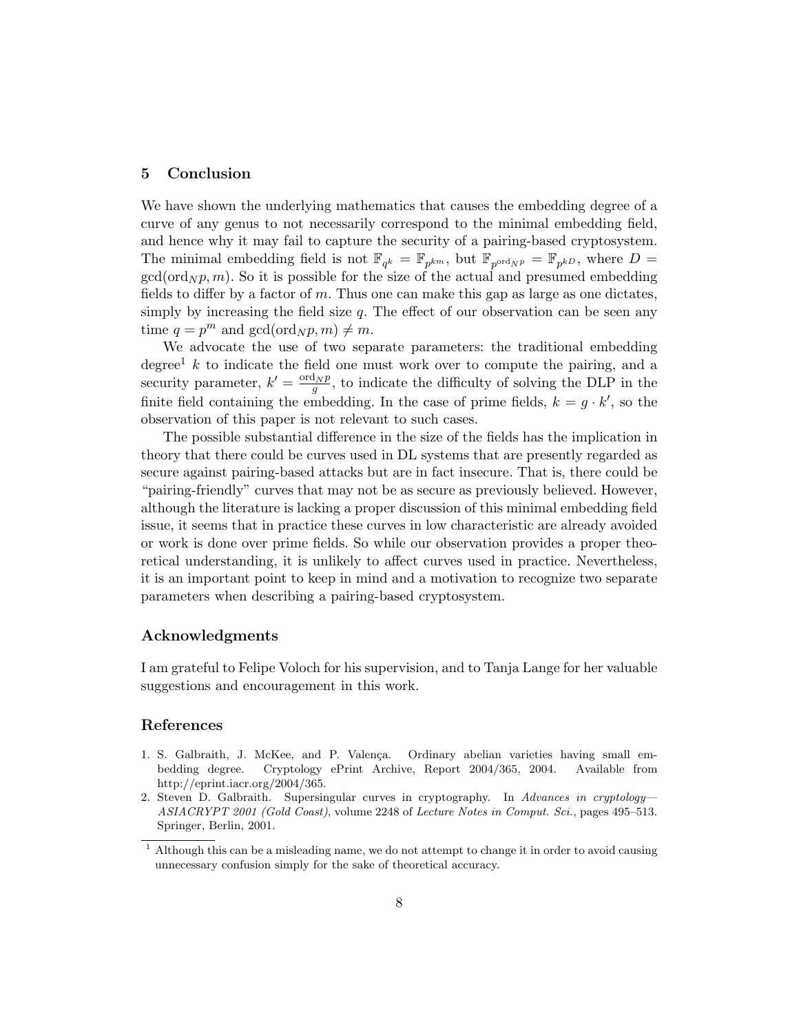## 5 Conclusion

We have shown the underlying mathematics that causes the embedding degree of a curve of any genus to not necessarily correspond to the minimal embedding field, and hence why it may fail to capture the security of a pairing-based cryptosystem. The minimal embedding field is not  $\mathbb{F}_{q^k} = \mathbb{F}_{p^{km}}$ , but  $\mathbb{F}_{p^{ord_N p}} = \mathbb{F}_{p^{kD}}$ , where  $D =$  $gcd(ord_N p, m)$ . So it is possible for the size of the actual and presumed embedding fields to differ by a factor of  $m$ . Thus one can make this gap as large as one dictates, simply by increasing the field size  $q$ . The effect of our observation can be seen any time  $q = p^m$  and  $gcd(ord_N p, m) \neq m$ .

We advocate the use of two separate parameters: the traditional embedding degree<sup>1</sup> k to indicate the field one must work over to compute the pairing, and a security parameter,  $k' = \frac{\text{ord}_N p}{g}$ , to indicate the difficulty of solving the DLP in the finite field containing the embedding. In the case of prime fields,  $k = g \cdot k'$ , so the observation of this paper is not relevant to such cases.

The possible substantial difference in the size of the fields has the implication in theory that there could be curves used in DL systems that are presently regarded as secure against pairing-based attacks but are in fact insecure. That is, there could be "pairing-friendly" curves that may not be as secure as previously believed. However, although the literature is lacking a proper discussion of this minimal embedding field issue, it seems that in practice these curves in low characteristic are already avoided or work is done over prime fields. So while our observation provides a proper theoretical understanding, it is unlikely to affect curves used in practice. Nevertheless, it is an important point to keep in mind and a motivation to recognize two separate parameters when describing a pairing-based cryptosystem.

#### Acknowledgments

I am grateful to Felipe Voloch for his supervision, and to Tanja Lange for her valuable suggestions and encouragement in this work.

#### References

- 1. S. Galbraith, J. McKee, and P. Valença. Ordinary abelian varieties having small embedding degree. Cryptology ePrint Archive, Report 2004/365, 2004. Available from http://eprint.iacr.org/2004/365.
- 2. Steven D. Galbraith. Supersingular curves in cryptography. In Advances in cryptology-ASIACRYPT 2001 (Gold Coast), volume 2248 of Lecture Notes in Comput. Sci., pages 495–513. Springer, Berlin, 2001.

 $1$  Although this can be a misleading name, we do not attempt to change it in order to avoid causing unnecessary confusion simply for the sake of theoretical accuracy.